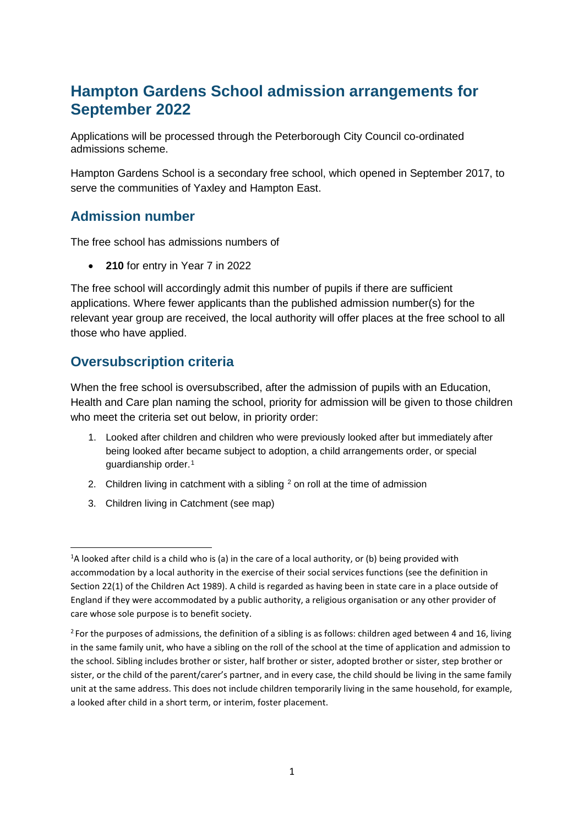# **Hampton Gardens School admission arrangements for September 2022**

Applications will be processed through the Peterborough City Council co-ordinated admissions scheme.

Hampton Gardens School is a secondary free school, which opened in September 2017, to serve the communities of Yaxley and Hampton East.

## **Admission number**

The free school has admissions numbers of

• **210** for entry in Year 7 in 2022

The free school will accordingly admit this number of pupils if there are sufficient applications. Where fewer applicants than the published admission number(s) for the relevant year group are received, the local authority will offer places at the free school to all those who have applied.

# **Oversubscription criteria**

When the free school is oversubscribed, after the admission of pupils with an Education, Health and Care plan naming the school, priority for admission will be given to those children who meet the criteria set out below, in priority order:

- 1. Looked after children and children who were previously looked after but immediately after being looked after became subject to adoption, a child arrangements order, or special guardianship order.[1](#page-0-0)
- [2](#page-0-1). Children living in catchment with a sibling  $2$  on roll at the time of admission
- 3. Children living in Catchment (see map)

<span id="page-0-0"></span> $\frac{1}{1}$  $^{1}$ A looked after child is a child who is (a) in the care of a local authority, or (b) being provided with accommodation by a local authority in the exercise of their social services functions (see the definition in Section 22(1) of the Children Act 1989). A child is regarded as having been in state care in a place outside of England if they were accommodated by a public authority, a religious organisation or any other provider of care whose sole purpose is to benefit society.

<span id="page-0-1"></span><sup>&</sup>lt;sup>2</sup> For the purposes of admissions, the definition of a sibling is as follows: children aged between 4 and 16, living in the same family unit, who have a sibling on the roll of the school at the time of application and admission to the school. Sibling includes brother or sister, half brother or sister, adopted brother or sister, step brother or sister, or the child of the parent/carer's partner, and in every case, the child should be living in the same family unit at the same address. This does not include children temporarily living in the same household, for example, a looked after child in a short term, or interim, foster placement.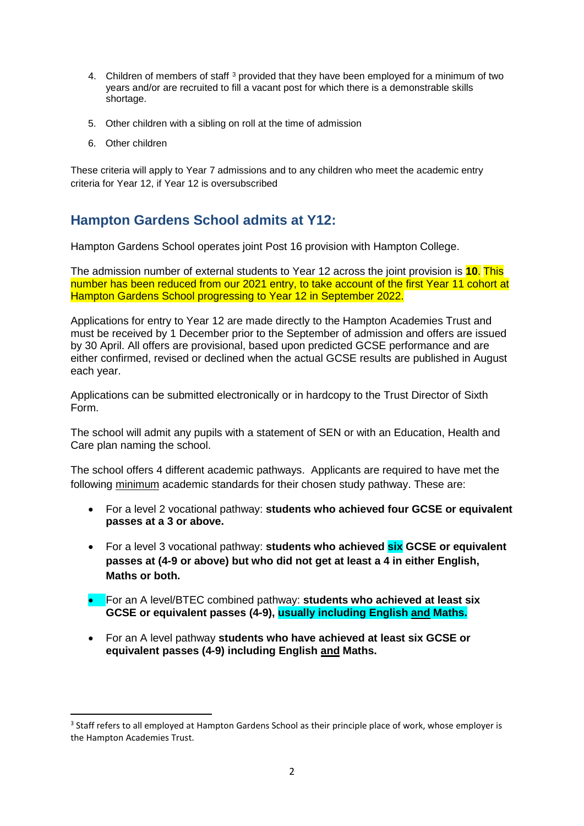- 4. Children of members of staff [3](#page-1-0) provided that they have been employed for a minimum of two years and/or are recruited to fill a vacant post for which there is a demonstrable skills shortage.
- 5. Other children with a sibling on roll at the time of admission
- 6. Other children

These criteria will apply to Year 7 admissions and to any children who meet the academic entry criteria for Year 12, if Year 12 is oversubscribed

#### **Hampton Gardens School admits at Y12:**

Hampton Gardens School operates joint Post 16 provision with Hampton College.

The admission number of external students to Year 12 across the joint provision is **10**. This number has been reduced from our 2021 entry, to take account of the first Year 11 cohort at Hampton Gardens School progressing to Year 12 in September 2022.

Applications for entry to Year 12 are made directly to the Hampton Academies Trust and must be received by 1 December prior to the September of admission and offers are issued by 30 April. All offers are provisional, based upon predicted GCSE performance and are either confirmed, revised or declined when the actual GCSE results are published in August each year.

Applications can be submitted electronically or in hardcopy to the Trust Director of Sixth Form.

The school will admit any pupils with a statement of SEN or with an Education, Health and Care plan naming the school.

The school offers 4 different academic pathways. Applicants are required to have met the following minimum academic standards for their chosen study pathway. These are:

- For a level 2 vocational pathway: **students who achieved four GCSE or equivalent passes at a 3 or above.**
- For a level 3 vocational pathway: **students who achieved six GCSE or equivalent passes at (4-9 or above) but who did not get at least a 4 in either English, Maths or both.**
- For an A level/BTEC combined pathway: **students who achieved at least six GCSE or equivalent passes (4-9), usually including English and Maths.**
- For an A level pathway **students who have achieved at least six GCSE or equivalent passes (4-9) including English and Maths.**

<span id="page-1-0"></span><sup>&</sup>lt;sup>3</sup> Staff refers to all employed at Hampton Gardens School as their principle place of work, whose employer is the Hampton Academies Trust.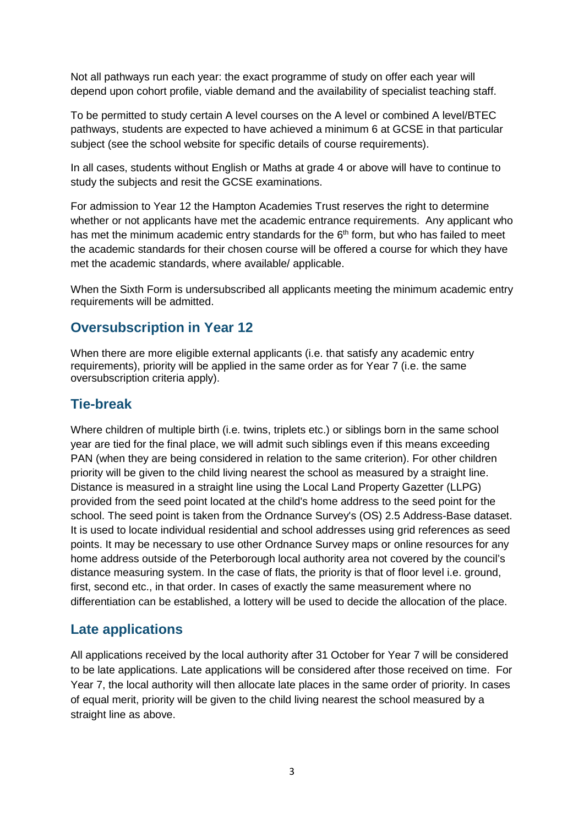Not all pathways run each year: the exact programme of study on offer each year will depend upon cohort profile, viable demand and the availability of specialist teaching staff.

To be permitted to study certain A level courses on the A level or combined A level/BTEC pathways, students are expected to have achieved a minimum 6 at GCSE in that particular subject (see the school website for specific details of course requirements).

In all cases, students without English or Maths at grade 4 or above will have to continue to study the subjects and resit the GCSE examinations.

For admission to Year 12 the Hampton Academies Trust reserves the right to determine whether or not applicants have met the academic entrance requirements. Any applicant who has met the minimum academic entry standards for the  $6<sup>th</sup>$  form, but who has failed to meet the academic standards for their chosen course will be offered a course for which they have met the academic standards, where available/ applicable.

When the Sixth Form is undersubscribed all applicants meeting the minimum academic entry requirements will be admitted.

#### **Oversubscription in Year 12**

When there are more eligible external applicants (i.e. that satisfy any academic entry requirements), priority will be applied in the same order as for Year 7 (i.e. the same oversubscription criteria apply).

#### **Tie-break**

Where children of multiple birth (i.e. twins, triplets etc.) or siblings born in the same school year are tied for the final place, we will admit such siblings even if this means exceeding PAN (when they are being considered in relation to the same criterion). For other children priority will be given to the child living nearest the school as measured by a straight line. Distance is measured in a straight line using the Local Land Property Gazetter (LLPG) provided from the seed point located at the child's home address to the seed point for the school. The seed point is taken from the Ordnance Survey's (OS) 2.5 Address-Base dataset. It is used to locate individual residential and school addresses using grid references as seed points. It may be necessary to use other Ordnance Survey maps or online resources for any home address outside of the Peterborough local authority area not covered by the council's distance measuring system. In the case of flats, the priority is that of floor level i.e. ground, first, second etc., in that order. In cases of exactly the same measurement where no differentiation can be established, a lottery will be used to decide the allocation of the place.

#### **Late applications**

All applications received by the local authority after 31 October for Year 7 will be considered to be late applications. Late applications will be considered after those received on time. For Year 7, the local authority will then allocate late places in the same order of priority. In cases of equal merit, priority will be given to the child living nearest the school measured by a straight line as above.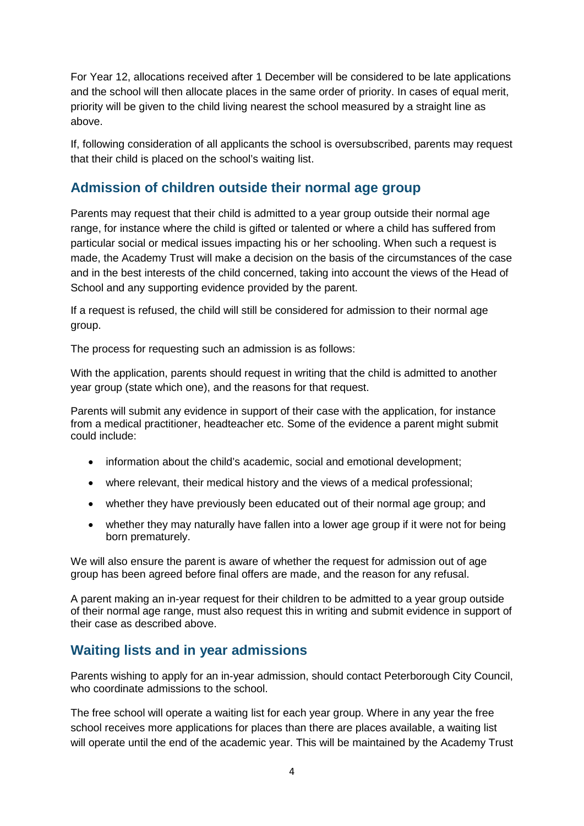For Year 12, allocations received after 1 December will be considered to be late applications and the school will then allocate places in the same order of priority. In cases of equal merit, priority will be given to the child living nearest the school measured by a straight line as above.

If, following consideration of all applicants the school is oversubscribed, parents may request that their child is placed on the school's waiting list.

#### **Admission of children outside their normal age group**

Parents may request that their child is admitted to a year group outside their normal age range, for instance where the child is gifted or talented or where a child has suffered from particular social or medical issues impacting his or her schooling. When such a request is made, the Academy Trust will make a decision on the basis of the circumstances of the case and in the best interests of the child concerned, taking into account the views of the Head of School and any supporting evidence provided by the parent.

If a request is refused, the child will still be considered for admission to their normal age group.

The process for requesting such an admission is as follows:

With the application, parents should request in writing that the child is admitted to another year group (state which one), and the reasons for that request.

Parents will submit any evidence in support of their case with the application, for instance from a medical practitioner, headteacher etc. Some of the evidence a parent might submit could include:

- information about the child's academic, social and emotional development;
- where relevant, their medical history and the views of a medical professional;
- whether they have previously been educated out of their normal age group; and
- whether they may naturally have fallen into a lower age group if it were not for being born prematurely.

We will also ensure the parent is aware of whether the request for admission out of age group has been agreed before final offers are made, and the reason for any refusal.

A parent making an in-year request for their children to be admitted to a year group outside of their normal age range, must also request this in writing and submit evidence in support of their case as described above.

## **Waiting lists and in year admissions**

Parents wishing to apply for an in-year admission, should contact Peterborough City Council, who coordinate admissions to the school.

The free school will operate a waiting list for each year group. Where in any year the free school receives more applications for places than there are places available, a waiting list will operate until the end of the academic year. This will be maintained by the Academy Trust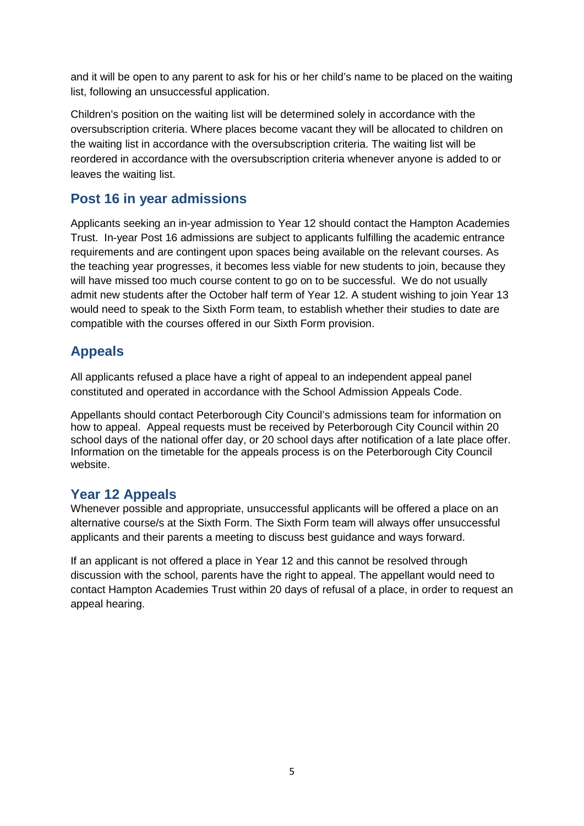and it will be open to any parent to ask for his or her child's name to be placed on the waiting list, following an unsuccessful application.

Children's position on the waiting list will be determined solely in accordance with the oversubscription criteria. Where places become vacant they will be allocated to children on the waiting list in accordance with the oversubscription criteria. The waiting list will be reordered in accordance with the oversubscription criteria whenever anyone is added to or leaves the waiting list.

## **Post 16 in year admissions**

Applicants seeking an in-year admission to Year 12 should contact the Hampton Academies Trust. In-year Post 16 admissions are subject to applicants fulfilling the academic entrance requirements and are contingent upon spaces being available on the relevant courses. As the teaching year progresses, it becomes less viable for new students to join, because they will have missed too much course content to go on to be successful. We do not usually admit new students after the October half term of Year 12. A student wishing to join Year 13 would need to speak to the Sixth Form team, to establish whether their studies to date are compatible with the courses offered in our Sixth Form provision.

# **Appeals**

All applicants refused a place have a right of appeal to an independent appeal panel constituted and operated in accordance with the School Admission Appeals Code.

Appellants should contact Peterborough City Council's admissions team for information on how to appeal. Appeal requests must be received by Peterborough City Council within 20 school days of the national offer day, or 20 school days after notification of a late place offer. Information on the timetable for the appeals process is on the Peterborough City Council website.

## **Year 12 Appeals**

Whenever possible and appropriate, unsuccessful applicants will be offered a place on an alternative course/s at the Sixth Form. The Sixth Form team will always offer unsuccessful applicants and their parents a meeting to discuss best guidance and ways forward.

If an applicant is not offered a place in Year 12 and this cannot be resolved through discussion with the school, parents have the right to appeal. The appellant would need to contact Hampton Academies Trust within 20 days of refusal of a place, in order to request an appeal hearing.